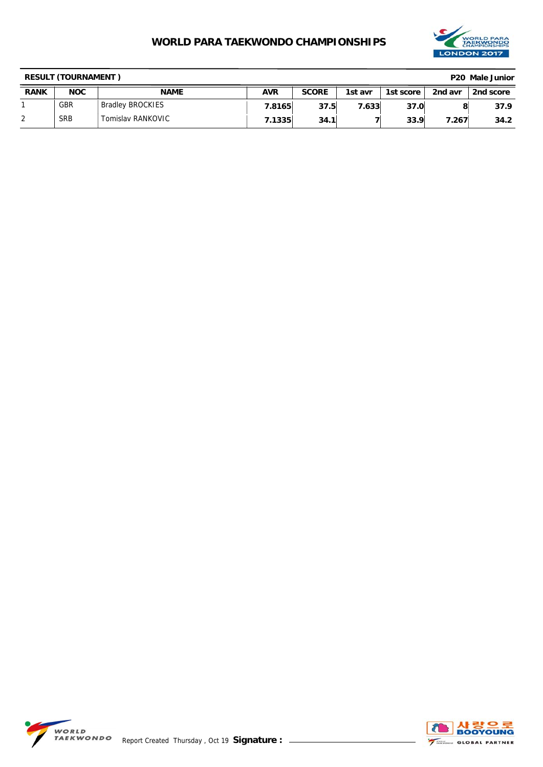

| <b>RESULT (TOURNAMENT)</b><br>P <sub>20</sub> Male Junior |            |                         |            |              |         |           |         |           |
|-----------------------------------------------------------|------------|-------------------------|------------|--------------|---------|-----------|---------|-----------|
| <b>RANK</b>                                               | <b>NOC</b> | <b>NAME</b>             | <b>AVR</b> | <b>SCORE</b> | 1st avr | 1st score | 2nd avr | 2nd score |
|                                                           | <b>GBR</b> | <b>Bradley BROCKIES</b> | 7.8165     | 37.5         | 7.633   | 37.0      |         | 37.9      |
| 2                                                         | <b>SRB</b> | Tomislav RANKOVIC       | 7.1335     | 34.1         |         | 33.9      | 7.267   | 34.2      |



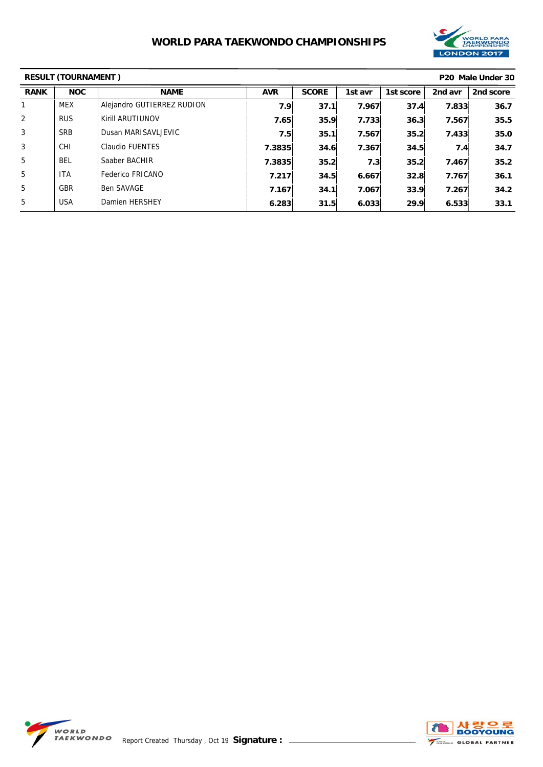

| <b>RESULT (TOURNAMENT)</b> |            |                            |            |              |         | P <sub>20</sub> Male Under 30 |         |           |
|----------------------------|------------|----------------------------|------------|--------------|---------|-------------------------------|---------|-----------|
| <b>RANK</b>                | <b>NOC</b> | <b>NAME</b>                | <b>AVR</b> | <b>SCORE</b> | 1st avr | 1st score                     | 2nd avr | 2nd score |
|                            | <b>MEX</b> | Alejandro GUTIERREZ RUDION | 7.9        | 37.1         | 7.967   | 37.4                          | 7.833   | 36.7      |
| $\overline{2}$             | <b>RUS</b> | Kirill ARUTIUNOV           | 7.65       | 35.9         | 7.733   | 36.3                          | 7.567   | 35.5      |
| 3                          | <b>SRB</b> | Dusan MARISAVLJEVIC        | 7.5        | 35.1         | 7.567   | 35.2                          | 7.433   | 35.0      |
| 3                          | <b>CHI</b> | <b>Claudio FUENTES</b>     | 7.3835     | 34.6         | 7.367   | 34.5                          | 7.4     | 34.7      |
| 5                          | <b>BEL</b> | Saaber BACHIR              | 7.3835     | 35.2         | 7.3     | 35.2                          | 7.467   | 35.2      |
| 5                          | <b>ITA</b> | Federico FRICANO           | 7.217      | 34.5         | 6.667   | 32.8                          | 7.767   | 36.1      |
| 5                          | <b>GBR</b> | <b>Ben SAVAGE</b>          | 7.167      | 34.1         | 7.067   | 33.9                          | 7.267   | 34.2      |
| 5                          | <b>USA</b> | Damien HERSHEY             | 6.283      | 31.5         | 6.033   | 29.9                          | 6.533   | 33.1      |



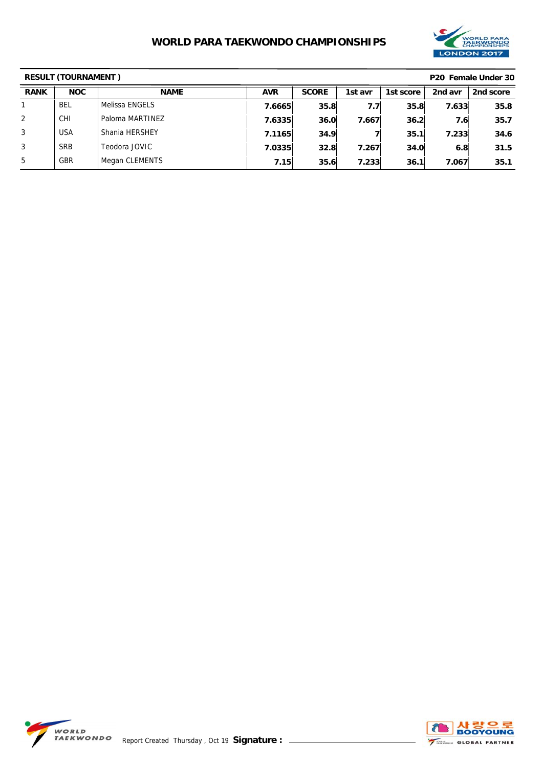

| <b>RESULT (TOURNAMENT)</b><br>P <sub>20</sub> Female Under 30 |            |                 |            |              |                  |           |         |           |
|---------------------------------------------------------------|------------|-----------------|------------|--------------|------------------|-----------|---------|-----------|
| <b>RANK</b>                                                   | <b>NOC</b> | <b>NAME</b>     | <b>AVR</b> | <b>SCORE</b> | 1st avr          | 1st score | 2nd avr | 2nd score |
|                                                               | BEL        | Melissa ENGELS  | 7.6665     | 35.8         | 7.7 <sub>1</sub> | 35.8      | 7.633   | 35.8      |
| $\overline{2}$                                                | <b>CHI</b> | Paloma MARTINEZ | 7.6335     | 36.0         | 7.667            | 36.2      | 7.6     | 35.7      |
| 3                                                             | <b>USA</b> | Shania HERSHEY  | 7.1165     | 34.9         |                  | 35.1      | 7.233   | 34.6      |
| 3                                                             | <b>SRB</b> | Teodora JOVIC   | 7.0335     | 32.8         | 7.267            | 34.0      | 6.8     | 31.5      |
| 5                                                             | <b>GBR</b> | Megan CLEMENTS  | 7.15       | 35.6         | 7.233            | 36.1      | 7.067   | 35.1      |



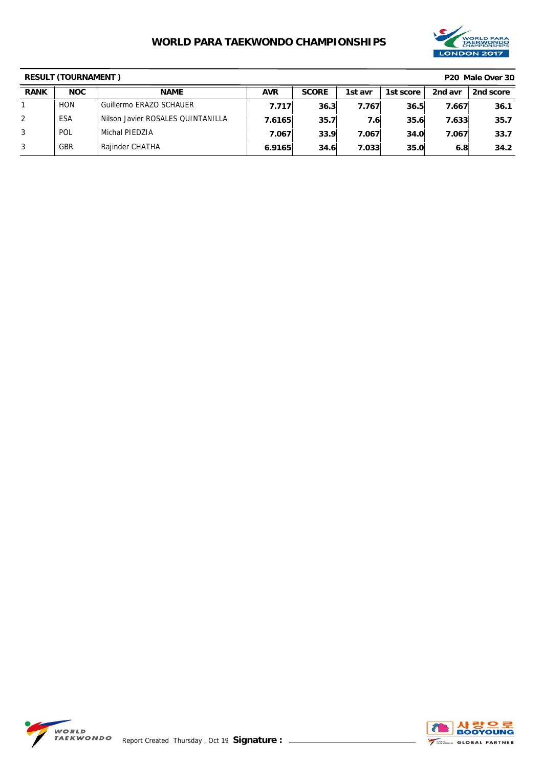

| <b>RESULT (TOURNAMENT)</b> |            |                                   |            |              |         |           | P <sub>20</sub> Male Over 30 |           |
|----------------------------|------------|-----------------------------------|------------|--------------|---------|-----------|------------------------------|-----------|
| <b>RANK</b>                | <b>NOC</b> | <b>NAME</b>                       | <b>AVR</b> | <b>SCORE</b> | 1st avr | 1st score | 2nd avr                      | 2nd score |
|                            | <b>HON</b> | Guillermo ERAZO SCHAUER           | 7.717      | 36.3         | 7.767   | 36.5      | 7.667                        | 36.1      |
| 2                          | ESA        | Nilson Javier ROSALES OUINTANILLA | 7.6165     | 35.7         | 7.61    | 35.6      | 7.633                        | 35.7      |
| 3                          | POL        | Michal PIEDZIA                    | 7.067      | 33.9         | 7.067   | 34.0      | 7.067                        | 33.7      |
| 3                          | <b>GBR</b> | Rajinder CHATHA                   | 6.9165     | 34.6         | 7.033   | 35.0      | 6.8                          | 34.2      |